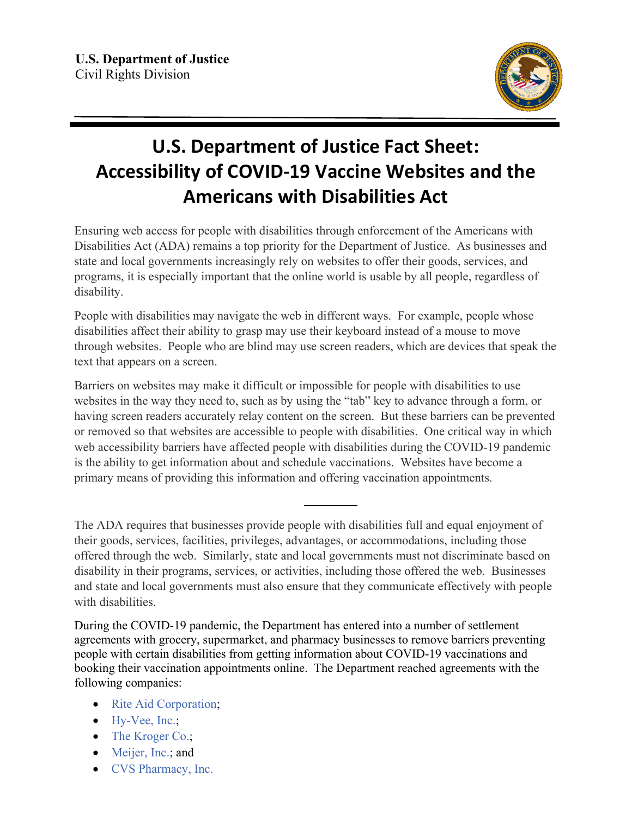

## **U.S. Department of Justice Fact Sheet: Accessibility of COVID-19 Vaccine Websites and the Americans with Disabilities Act**

Ensuring web access for people with disabilities through enforcement of the Americans with Disabilities Act (ADA) remains a top priority for the Department of Justice. As businesses and state and local governments increasingly rely on websites to offer their goods, services, and programs, it is especially important that the online world is usable by all people, regardless of disability.

People with disabilities may navigate the web in different ways. For example, people whose disabilities affect their ability to grasp may use their keyboard instead of a mouse to move through websites. People who are blind may use screen readers, which are devices that speak the text that appears on a screen.

Barriers on websites may make it difficult or impossible for people with disabilities to use websites in the way they need to, such as by using the "tab" key to advance through a form, or having screen readers accurately relay content on the screen. But these barriers can be prevented or removed so that websites are accessible to people with disabilities. One critical way in which web accessibility barriers have affected people with disabilities during the COVID-19 pandemic is the ability to get information about and schedule vaccinations. Websites have become a primary means of providing this information and offering vaccination appointments.

The ADA requires that businesses provide people with disabilities full and equal enjoyment of their goods, services, facilities, privileges, advantages, or accommodations, including those offered through the web. Similarly, state and local governments must not discriminate based on disability in their programs, services, or activities, including those offered the web. Businesses and state and local governments must also ensure that they communicate effectively with people with disabilities.

During the COVID-19 pandemic, the Department has entered into a number of settlement agreements with grocery, supermarket, and pharmacy businesses to remove barriers preventing people with certain disabilities from getting information about COVID-19 vaccinations and booking their vaccination appointments online. The Department reached agreements with the following companies:

- [Rite Aid Corporation;](https://www.ada.gov/rite_aid_sa.pdf)
- [Hy-Vee, Inc.;](https://www.ada.gov/hy-vee_sa.pdf)
- [The Kroger Co.;](https://www.ada.gov/kroger_co_sa.pdf)
- [Meijer, Inc.;](https://www.ada.gov/meijer_sa.pdf) and
- [CVS Pharmacy, Inc.](https://www.ada.gov/cvs_sa.pdf)